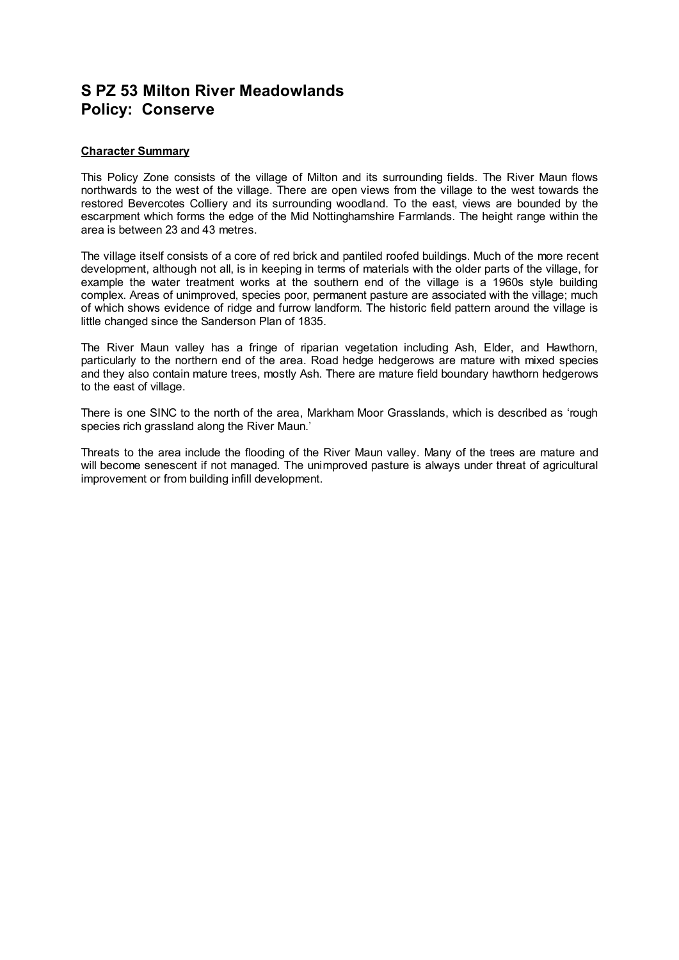# **S PZ 53 Milton River Meadowlands Policy: Conserve**

### **Character Summary**

This Policy Zone consists of the village of Milton and its surrounding fields. The River Maun flows northwards to the west of the village. There are open views from the village to the west towards the restored Bevercotes Colliery and its surrounding woodland. To the east, views are bounded by the escarpment which forms the edge of the Mid Nottinghamshire Farmlands. The height range within the area is between 23 and 43 metres.

The village itself consists of a core of red brick and pantiled roofed buildings. Much of the more recent development, although not all, is in keeping in terms of materials with the older parts of the village, for example the water treatment works at the southern end of the village is a 1960s style building complex. Areas of unimproved, species poor, permanent pasture are associated with the village; much of which shows evidence of ridge and furrow landform. The historic field pattern around the village is little changed since the Sanderson Plan of 1835.

The River Maun valley has a fringe of riparian vegetation including Ash, Elder, and Hawthorn, particularly to the northern end of the area. Road hedge hedgerows are mature with mixed species and they also contain mature trees, mostly Ash. There are mature field boundary hawthorn hedgerows to the east of village.

There is one SINC to the north of the area, Markham Moor Grasslands, which is described as 'rough species rich grassland along the River Maun.'

Threats to the area include the flooding of the River Maun valley. Many of the trees are mature and will become senescent if not managed. The unimproved pasture is always under threat of agricultural improvement or from building infill development.